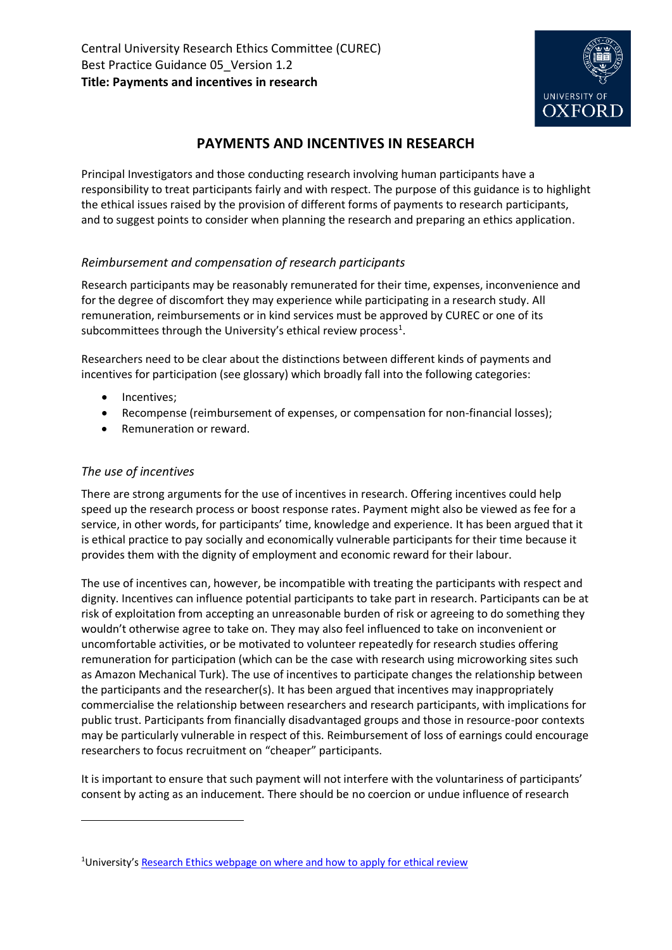

# **PAYMENTS AND INCENTIVES IN RESEARCH**

Principal Investigators and those conducting research involving human participants have a responsibility to treat participants fairly and with respect. The purpose of this guidance is to highlight the ethical issues raised by the provision of different forms of payments to research participants, and to suggest points to consider when planning the research and preparing an ethics application.

# *Reimbursement and compensation of research participants*

Research participants may be reasonably remunerated for their time, expenses, inconvenience and for the degree of discomfort they may experience while participating in a research study. All remuneration, reimbursements or in kind services must be approved by CUREC or one of its subcommittees through the University's ethical review process<sup>1</sup>.

Researchers need to be clear about the distinctions between different kinds of payments and incentives for participation (see glossary) which broadly fall into the following categories:

- Incentives;
- Recompense (reimbursement of expenses, or compensation for non-financial losses);
- Remuneration or reward.

# *The use of incentives*

**.** 

There are strong arguments for the use of incentives in research. Offering incentives could help speed up the research process or boost response rates. Payment might also be viewed as fee for a service, in other words, for participants' time, knowledge and experience. It has been argued that it is ethical practice to pay socially and economically vulnerable participants for their time because it provides them with the dignity of employment and economic reward for their labour.

The use of incentives can, however, be incompatible with treating the participants with respect and dignity. Incentives can influence potential participants to take part in research. Participants can be at risk of exploitation from accepting an unreasonable burden of risk or agreeing to do something they wouldn't otherwise agree to take on. They may also feel influenced to take on inconvenient or uncomfortable activities, or be motivated to volunteer repeatedly for research studies offering remuneration for participation (which can be the case with research using microworking sites such as Amazon Mechanical Turk). The use of incentives to participate changes the relationship between the participants and the researcher(s). It has been argued that incentives may inappropriately commercialise the relationship between researchers and research participants, with implications for public trust. Participants from financially disadvantaged groups and those in resource-poor contexts may be particularly vulnerable in respect of this. Reimbursement of loss of earnings could encourage researchers to focus recruitment on "cheaper" participants.

It is important to ensure that such payment will not interfere with the voluntariness of participants' consent by acting as an inducement. There should be no coercion or undue influence of research

<sup>&</sup>lt;sup>1</sup>University's [Research Ethics webpage on where and how to apply for ethical review](https://researchsupport.admin.ox.ac.uk/governance/ethics/apply)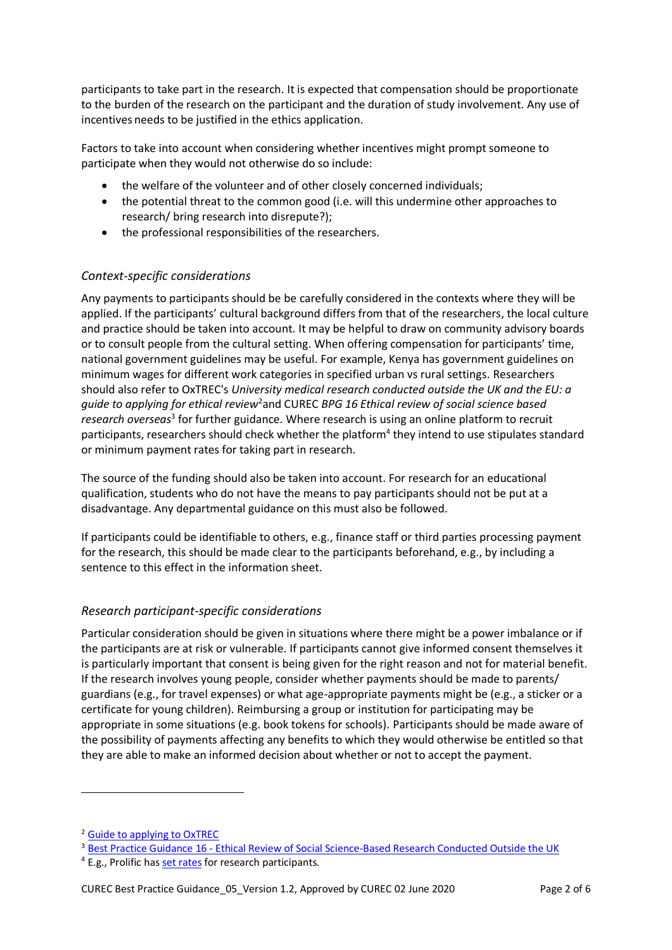participants to take part in the research. It is expected that compensation should be proportionate to the burden of the research on the participant and the duration of study involvement. Any use of incentives needs to be justified in the ethics application.

Factors to take into account when considering whether incentives might prompt someone to participate when they would not otherwise do so include:

- the welfare of the volunteer and of other closely concerned individuals;
- the potential threat to the common good (i.e. will this undermine other approaches to research/ bring research into disrepute?);
- the professional responsibilities of the researchers.

# *Context-specific considerations*

Any payments to participants should be be carefully considered in the contexts where they will be applied. If the participants' cultural background differs from that of the researchers, the local culture and practice should be taken into account. It may be helpful to draw on community advisory boards or to consult people from the cultural setting. When offering compensation for participants' time, national government guidelines may be useful. For example, Kenya has government guidelines on minimum wages for different work categories in specified urban vs rural settings. Researchers should also refer to OxTREC's *University medical research conducted outside the UK and the EU: a*  guide to applying for ethical review<sup>2</sup>and CUREC BPG 16 Ethical review of social science based research overseas<sup>3</sup> for further guidance. Where research is using an online platform to recruit participants, researchers should check whether the platform<sup>4</sup> they intend to use stipulates standard or minimum payment rates for taking part in research.

The source of the funding should also be taken into account. For research for an educational qualification, students who do not have the means to pay participants should not be put at a disadvantage. Any departmental guidance on this must also be followed.

If participants could be identifiable to others, e.g., finance staff or third parties processing payment for the research, this should be made clear to the participants beforehand, e.g., by including a sentence to this effect in the information sheet.

# *Research participant-specific considerations*

Particular consideration should be given in situations where there might be a power imbalance or if the participants are at risk or vulnerable. If participants cannot give informed consent themselves it is particularly important that consent is being given for the right reason and not for material benefit. If the research involves young people, consider whether payments should be made to parents/ guardians (e.g., for travel expenses) or what age-appropriate payments might be (e.g., a sticker or a certificate for young children). Reimbursing a group or institution for participating may be appropriate in some situations (e.g. book tokens for schools). Participants should be made aware of the possibility of payments affecting any benefits to which they would otherwise be entitled so that they are able to make an informed decision about whether or not to accept the payment.

1

<sup>2</sup> [Guide to applying to OxTREC](https://researchsupport.admin.ox.ac.uk/files/aguidetoapplyingtooxtrecpdf)

<sup>&</sup>lt;sup>3</sup> Best Practice Guidance 16 - [Ethical Review of Social Science-Based Research Conducted Outside the UK](https://researchsupport.admin.ox.ac.uk/files/bpg16ethicalreviewofsocial-sciencebasedresearchoverseasv10pdf)

<sup>4</sup> E.g., Prolific ha[s set rates](https://researcher-help.prolific.co/hc/en-gb/articles/360009223533-What-is-your-pricing-) for research participants.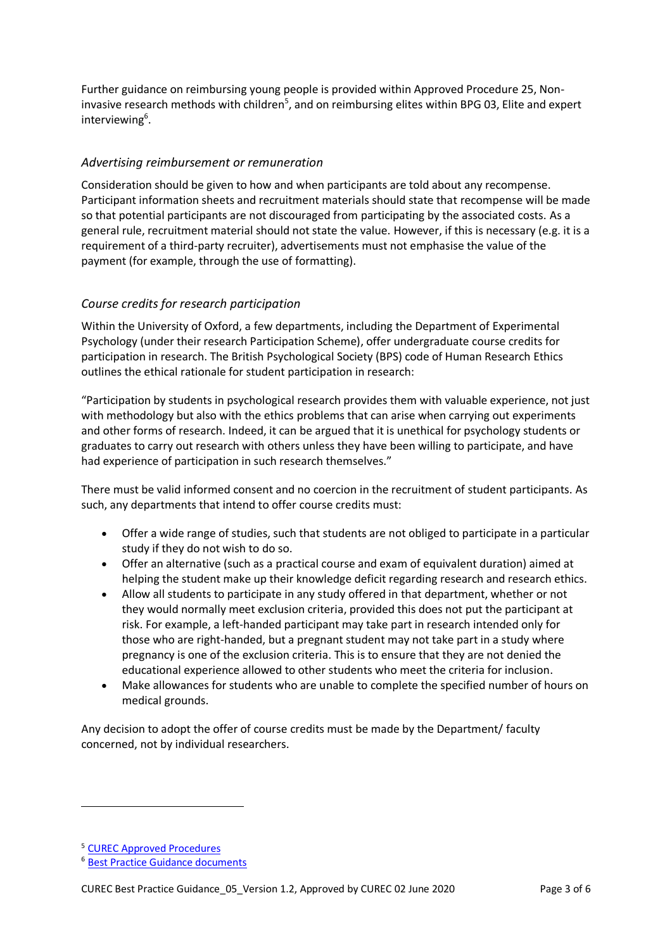Further guidance on reimbursing young people is provided within Approved Procedure 25, Noninvasive research methods with children<sup>5</sup>, and on reimbursing elites within BPG 03, Elite and expert interviewing<sup>6</sup>.

# *Advertising reimbursement or remuneration*

Consideration should be given to how and when participants are told about any recompense. Participant information sheets and recruitment materials should state that recompense will be made so that potential participants are not discouraged from participating by the associated costs. As a general rule, recruitment material should not state the value. However, if this is necessary (e.g. it is a requirement of a third-party recruiter), advertisements must not emphasise the value of the payment (for example, through the use of formatting).

## *Course credits for research participation*

Within the University of Oxford, a few departments, including the Department of Experimental Psychology (under their research Participation Scheme), offer undergraduate course credits for participation in research. The British Psychological Society (BPS) code of Human Research Ethics outlines the ethical rationale for student participation in research:

"Participation by students in psychological research provides them with valuable experience, not just with methodology but also with the ethics problems that can arise when carrying out experiments and other forms of research. Indeed, it can be argued that it is unethical for psychology students or graduates to carry out research with others unless they have been willing to participate, and have had experience of participation in such research themselves."

There must be valid informed consent and no coercion in the recruitment of student participants. As such, any departments that intend to offer course credits must:

- Offer a wide range of studies, such that students are not obliged to participate in a particular study if they do not wish to do so.
- Offer an alternative (such as a practical course and exam of equivalent duration) aimed at helping the student make up their knowledge deficit regarding research and research ethics.
- Allow all students to participate in any study offered in that department, whether or not they would normally meet exclusion criteria, provided this does not put the participant at risk. For example, a left-handed participant may take part in research intended only for those who are right-handed, but a pregnant student may not take part in a study where pregnancy is one of the exclusion criteria. This is to ensure that they are not denied the educational experience allowed to other students who meet the criteria for inclusion.
- Make allowances for students who are unable to complete the specified number of hours on medical grounds.

Any decision to adopt the offer of course credits must be made by the Department/ faculty concerned, not by individual researchers.

**.** 

<sup>5</sup> [CUREC Approved Procedures](https://researchsupport.admin.ox.ac.uk/governance/ethics/resources/ap)

<sup>6</sup> [Best Practice Guidance documents](https://researchsupport.admin.ox.ac.uk/governance/ethics/resources/bpg)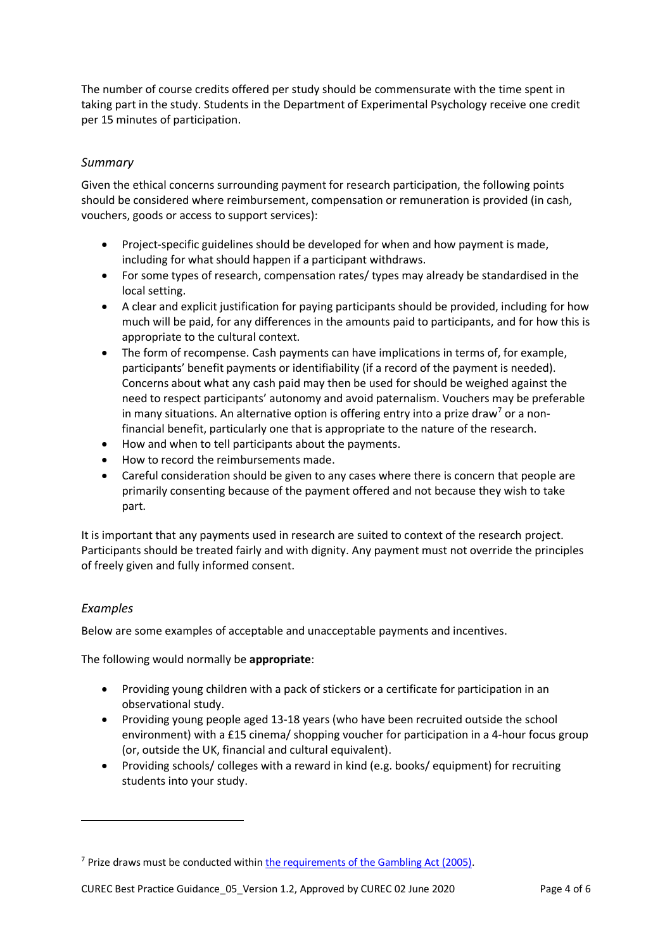The number of course credits offered per study should be commensurate with the time spent in taking part in the study. Students in the Department of Experimental Psychology receive one credit per 15 minutes of participation.

## *Summary*

Given the ethical concerns surrounding payment for research participation, the following points should be considered where reimbursement, compensation or remuneration is provided (in cash, vouchers, goods or access to support services):

- Project-specific guidelines should be developed for when and how payment is made, including for what should happen if a participant withdraws.
- For some types of research, compensation rates/ types may already be standardised in the local setting.
- A clear and explicit justification for paying participants should be provided, including for how much will be paid, for any differences in the amounts paid to participants, and for how this is appropriate to the cultural context.
- The form of recompense. Cash payments can have implications in terms of, for example, participants' benefit payments or identifiability (if a record of the payment is needed). Concerns about what any cash paid may then be used for should be weighed against the need to respect participants' autonomy and avoid paternalism. Vouchers may be preferable in many situations. An alternative option is offering entry into a prize draw<sup>7</sup> or a nonfinancial benefit, particularly one that is appropriate to the nature of the research.
- How and when to tell participants about the payments.
- How to record the reimbursements made.
- Careful consideration should be given to any cases where there is concern that people are primarily consenting because of the payment offered and not because they wish to take part.

It is important that any payments used in research are suited to context of the research project. Participants should be treated fairly and with dignity. Any payment must not override the principles of freely given and fully informed consent.

#### *Examples*

**.** 

Below are some examples of acceptable and unacceptable payments and incentives.

The following would normally be **appropriate**:

- Providing young children with a pack of stickers or a certificate for participation in an observational study.
- Providing young people aged 13-18 years (who have been recruited outside the school environment) with a £15 cinema/ shopping voucher for participation in a 4-hour focus group (or, outside the UK, financial and cultural equivalent).
- Providing schools/ colleges with a reward in kind (e.g. books/ equipment) for recruiting students into your study.

<sup>7</sup> Prize draws must be conducted within [the requirements of the Gambling Act \(2005\).](https://www.gamblingcommission.gov.uk/PDF/quick-guides/Prize-competitions-and-free-draws-quick-guide.pdf)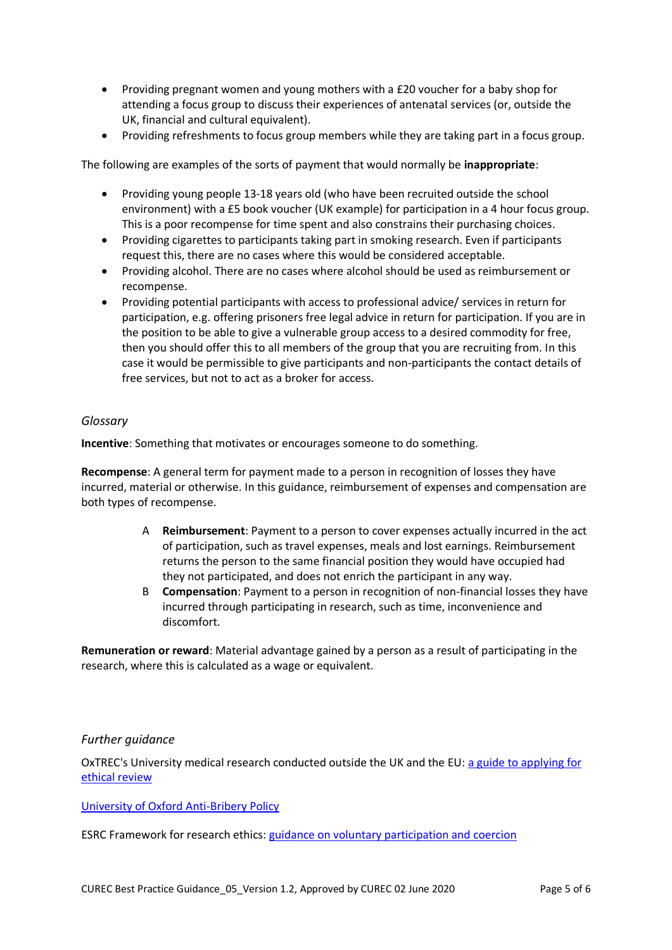- Providing pregnant women and young mothers with a £20 voucher for a baby shop for attending a focus group to discuss their experiences of antenatal services (or, outside the UK, financial and cultural equivalent).
- Providing refreshments to focus group members while they are taking part in a focus group.

The following are examples of the sorts of payment that would normally be **inappropriate**:

- Providing young people 13-18 years old (who have been recruited outside the school environment) with a £5 book voucher (UK example) for participation in a 4 hour focus group. This is a poor recompense for time spent and also constrains their purchasing choices.
- Providing cigarettes to participants taking part in smoking research. Even if participants request this, there are no cases where this would be considered acceptable.
- Providing alcohol. There are no cases where alcohol should be used as reimbursement or recompense.
- Providing potential participants with access to professional advice/ services in return for participation, e.g. offering prisoners free legal advice in return for participation. If you are in the position to be able to give a vulnerable group access to a desired commodity for free, then you should offer this to all members of the group that you are recruiting from. In this case it would be permissible to give participants and non-participants the contact details of free services, but not to act as a broker for access.

#### *Glossary*

**Incentive**: Something that motivates or encourages someone to do something.

**Recompense**: A general term for payment made to a person in recognition of losses they have incurred, material or otherwise. In this guidance, reimbursement of expenses and compensation are both types of recompense.

- A **Reimbursement**: Payment to a person to cover expenses actually incurred in the act of participation, such as travel expenses, meals and lost earnings. Reimbursement returns the person to the same financial position they would have occupied had they not participated, and does not enrich the participant in any way.
- B **Compensation**: Payment to a person in recognition of non-financial losses they have incurred through participating in research, such as time, inconvenience and discomfort.

**Remuneration or reward**: Material advantage gained by a person as a result of participating in the research, where this is calculated as a wage or equivalent.

## *Further guidance*

OxTREC's University medical research conducted outside the UK and the EU: [a guide to applying for](https://researchsupport.admin.ox.ac.uk/files/aguidetoapplyingtooxtrecpdf)  [ethical review](https://researchsupport.admin.ox.ac.uk/files/aguidetoapplyingtooxtrecpdf)

#### University [of Oxford Anti-Bribery Policy](https://compliance.admin.ox.ac.uk/anti-bribery-policy)

ESRC Framework for research ethics: [guidance on voluntary participation and coercion](https://esrc.ukri.org/funding/guidance-for-applicants/research-ethics/frequently-raised-questions/what-does-it-mean-that-participation-should-be-voluntary-and-free-from-coercion)